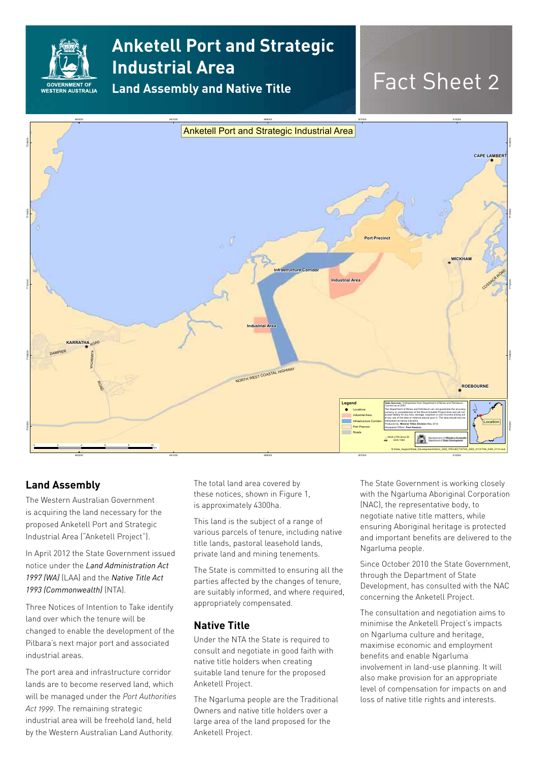

## **Anketell Port and Strategic Industrial Area**

**Land Assembly and Native Title**

# Fact Sheet 2



### **Land Assembly**

The Western Australian Government is acquiring the land necessary for the proposed Anketell Port and Strategic Industrial Area ("Anketell Project").

In April 2012 the State Government issued notice under the *Land Administration Act 1997 (WA)* (LAA) and the *Native Title Act 1993 (Commonwealth)* (NTA).

Three Notices of Intention to Take identify land over which the tenure will be changed to enable the development of the Pilbara's next major port and associated industrial areas.

The port area and infrastructure corridor lands are to become reserved land, which will be managed under the *Port Authorities Act 1999*. The remaining strategic industrial area will be freehold land, held by the Western Australian Land Authority.

The total land area covered by these notices, shown in Figure 1, is approximately 4300ha.

This land is the subject of a range of various parcels of tenure, including native title lands, pastoral leasehold lands, private land and mining tenements.

The State is committed to ensuring all the parties affected by the changes of tenure, are suitably informed, and where required, appropriately compensated.

#### **Native Title**

Under the NTA the State is required to consult and negotiate in good faith with native title holders when creating suitable land tenure for the proposed Anketell Project.

The Ngarluma people are the Traditional Owners and native title holders over a large area of the land proposed for the Anketell Project.

The State Government is working closely with the Ngarluma Aboriginal Corporation (NAC), the representative body, to negotiate native title matters, while ensuring Aboriginal heritage is protected and important benefits are delivered to the Ngarluma people.

Since October 2010 the State Government, through the Department of State Development, has consulted with the NAC concerning the Anketell Project.

The consultation and negotiation aims to minimise the Anketell Project's impacts on Ngarluma culture and heritage, maximise economic and employment benefits and enable Ngarluma involvement in land-use planning. It will also make provision for an appropriate level of compensation for impacts on and loss of native title rights and interests.